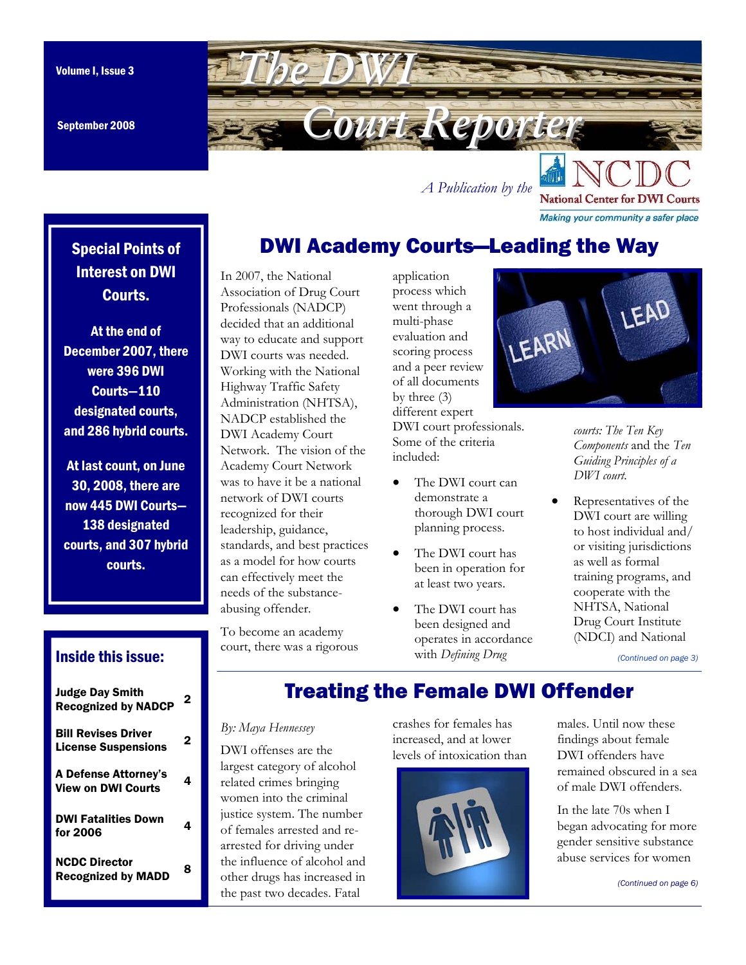September 2008

<span id="page-0-0"></span>

*A Publication by the* 

**National Center for DWI Courts** Making your community a safer place

# DWI Academy Courts—Leading the Way

# Special Points of Interest on DWI Courts.

At the end of December 2007, there were 396 DWI Courts—110 designated courts, and 286 hybrid courts.

At last count, on June 30, 2008, there are now 445 DWI Courts— 138 designated courts, and 307 hybrid courts.

#### Association of Drug Court Professionals (NADCP) decided that an additional way to educate and support DWI courts was needed. Working with the National Highway Traffic Safety Administration (NHTSA), NADCP established the DWI Academy Court Network. The vision of the Academy Court Network was to have it be a national network of DWI courts recognized for their leadership, guidance, standards, and best practices as a model for how courts can effectively meet the needs of the substanceabusing offender.

In 2007, the National

To become an academy court, there was a rigorous

application process which went through a multi-phase evaluation and scoring process and a peer review of all documents by three (3) different expert

DWI court professionals. Some of the criteria included:

- The DWI court can demonstrate a thorough DWI court planning process.
- The DWI court has been in operation for at least two years.
- The DWI court has been designed and operates in accordance with *Defining Drug*



*courts: The Ten Key Components* and the *Ten Guiding Principles of a DWI court.*

• Representatives of the DWI court are willing to host individual and/ or visiting jurisdictions as well as formal training programs, and cooperate with the NHTSA, National Drug Court Institute (NDCI) and National

*[\(Continued on page 3\)](#page-2-0)* 

### Inside this issue:

| <b>Judge Day Smith</b><br><b>Recognized by NADCP</b>     | 2 |
|----------------------------------------------------------|---|
| <b>Bill Revises Driver</b><br><b>License Suspensions</b> | 2 |
| A Defense Attorney's<br><b>View on DWI Courts</b>        | 4 |
| <b>DWI Fatalities Down</b><br>for 2006                   | 4 |
| <b>NCDC Director</b><br><b>Recognized by MADD</b>        | я |

# Treating the Female DWI Offender

#### *By: Maya Hennessey*

DWI offenses are the largest category of alcohol related crimes bringing women into the criminal justice system. The number of females arrested and rearrested for driving under the influence of alcohol and other drugs has increased in the past two decades. Fatal

crashes for females has increased, and at lower levels of intoxication than



males. Until now these findings about female DWI offenders have remained obscured in a sea of male DWI offenders.

In the late 70s when I began advocating for more gender sensitive substance abuse services for women

*[\(Continued on page 6\)](#page-5-0)*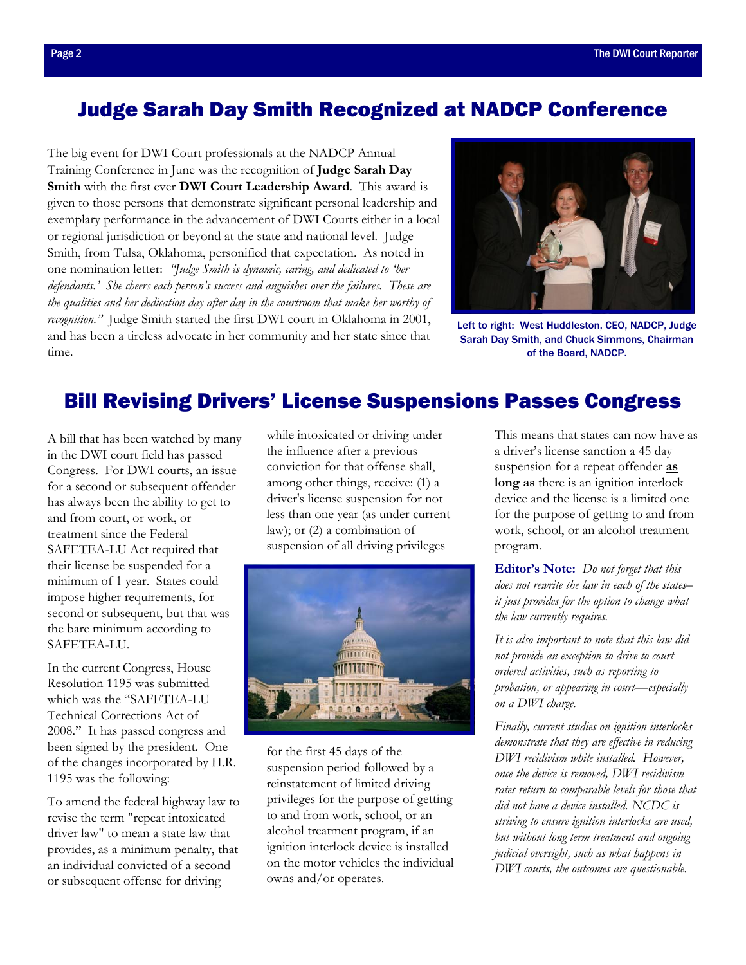# <span id="page-1-0"></span>Judge Sarah Day Smith Recognized at NADCP Conference

The big event for DWI Court professionals at the NADCP Annual Training Conference in June was the recognition of **Judge Sarah Day Smith** with the first ever **DWI Court Leadership Award**. This award is given to those persons that demonstrate significant personal leadership and exemplary performance in the advancement of DWI Courts either in a local or regional jurisdiction or beyond at the state and national level. Judge Smith, from Tulsa, Oklahoma, personified that expectation. As noted in one nomination letter: *"Judge Smith is dynamic, caring, and dedicated to 'her defendants.' She cheers each person's success and anguishes over the failures. These are the qualities and her dedication day after day in the courtroom that make her worthy of recognition."* Judge Smith started the first DWI court in Oklahoma in 2001, and has been a tireless advocate in her community and her state since that time.



Left to right: West Huddleston, CEO, NADCP, Judge Sarah Day Smith, and Chuck Simmons, Chairman of the Board, NADCP.

## Bill Revising Drivers' License Suspensions Passes Congress

A bill that has been watched by many in the DWI court field has passed Congress. For DWI courts, an issue for a second or subsequent offender has always been the ability to get to and from court, or work, or treatment since the Federal SAFETEA-LU Act required that their license be suspended for a minimum of 1 year. States could impose higher requirements, for second or subsequent, but that was the bare minimum according to SAFETEA-LU.

In the current Congress, House Resolution 1195 was submitted which was the "SAFETEA-LU Technical Corrections Act of 2008." It has passed congress and been signed by the president. One of the changes incorporated by H.R. 1195 was the following:

To amend the federal highway law to revise the term "repeat intoxicated driver law" to mean a state law that provides, as a minimum penalty, that an individual convicted of a second or subsequent offense for driving

while intoxicated or driving under the influence after a previous conviction for that offense shall, among other things, receive: (1) a driver's license suspension for not less than one year (as under current law); or (2) a combination of suspension of all driving privileges



for the first 45 days of the suspension period followed by a reinstatement of limited driving privileges for the purpose of getting to and from work, school, or an alcohol treatment program, if an ignition interlock device is installed on the motor vehicles the individual owns and/or operates.

This means that states can now have as a driver's license sanction a 45 day suspension for a repeat offender **as long as** there is an ignition interlock device and the license is a limited one for the purpose of getting to and from work, school, or an alcohol treatment program.

**Editor's Note:** *Do not forget that this does not rewrite the law in each of the states– it just provides for the option to change what the law currently requires.* 

*It is also important to note that this law did not provide an exception to drive to court ordered activities, such as reporting to probation, or appearing in court—especially on a DWI charge.* 

*Finally, current studies on ignition interlocks demonstrate that they are effective in reducing DWI recidivism while installed. However, once the device is removed, DWI recidivism rates return to comparable levels for those that did not have a device installed. NCDC is striving to ensure ignition interlocks are used, but without long term treatment and ongoing judicial oversight, such as what happens in DWI courts, the outcomes are questionable.*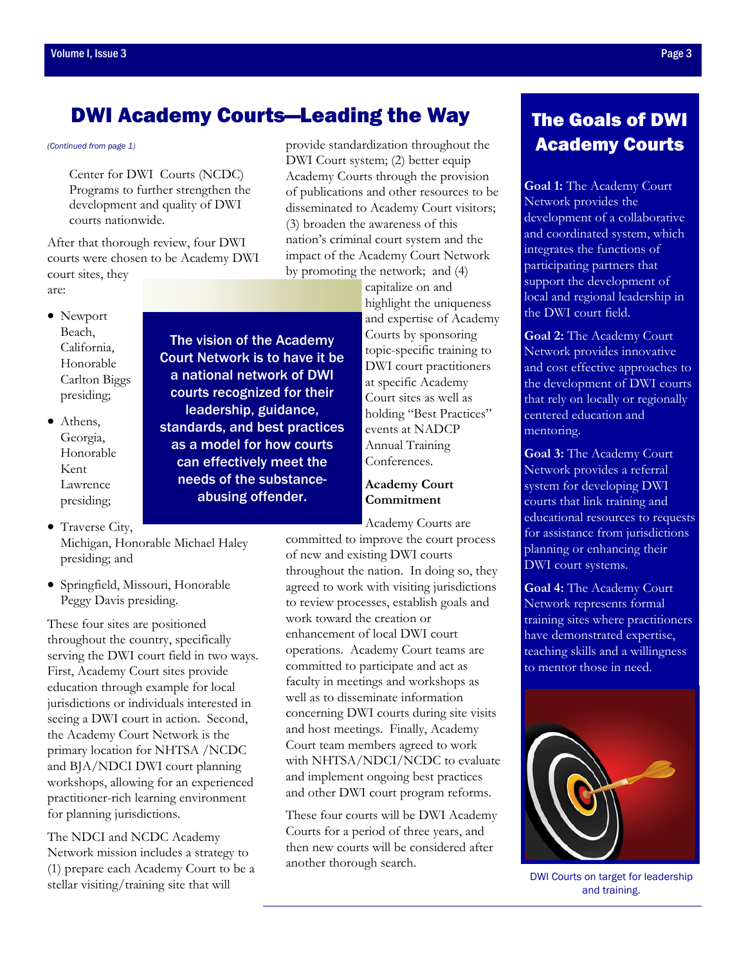# <span id="page-2-0"></span>DWI Academy Courts—Leading the Way

The vision of the Academy Court Network is to have it be a national network of DWI courts recognized for their leadership, guidance, standards, and best practices as a model for how courts can effectively meet the needs of the substanceabusing offender.

*[\(Continued from page 1\)](#page-0-0)*

Center for DWI Courts (NCDC) Programs to further strengthen the development and quality of DWI courts nationwide.

After that thorough review, four DWI courts were chosen to be Academy DWI court sites, they are:

- Newport Beach, California, Honorable Carlton Biggs presiding;
- Athens, Georgia, Honorable Kent Lawrence presiding;
- Traverse City, Michigan, Honorable Michael Haley presiding; and
- Springfield, Missouri, Honorable Peggy Davis presiding.

These four sites are positioned throughout the country, specifically serving the DWI court field in two ways. First, Academy Court sites provide education through example for local jurisdictions or individuals interested in seeing a DWI court in action. Second, the Academy Court Network is the primary location for NHTSA /NCDC and BJA/NDCI DWI court planning workshops, allowing for an experienced practitioner-rich learning environment for planning jurisdictions.

The NDCI and NCDC Academy Network mission includes a strategy to (1) prepare each Academy Court to be a stellar visiting/training site that will

provide standardization throughout the DWI Court system; (2) better equip Academy Courts through the provision of publications and other resources to be disseminated to Academy Court visitors; (3) broaden the awareness of this nation's criminal court system and the impact of the Academy Court Network by promoting the network; and (4)

> capitalize on and highlight the uniqueness and expertise of Academy Courts by sponsoring topic-specific training to DWI court practitioners at specific Academy Court sites as well as holding "Best Practices" events at NADCP Annual Training Conferences.

### **Academy Court Commitment**

Academy Courts are

committed to improve the court process of new and existing DWI courts throughout the nation. In doing so, they agreed to work with visiting jurisdictions to review processes, establish goals and work toward the creation or enhancement of local DWI court operations. Academy Court teams are committed to participate and act as faculty in meetings and workshops as well as to disseminate information concerning DWI courts during site visits and host meetings. Finally, Academy Court team members agreed to work with NHTSA/NDCI/NCDC to evaluate and implement ongoing best practices and other DWI court program reforms.

These four courts will be DWI Academy Courts for a period of three years, and then new courts will be considered after another thorough search.

# The Goals of DWI Academy Courts

**Goal 1:** The Academy Court Network provides the development of a collaborative and coordinated system, which integrates the functions of participating partners that support the development of local and regional leadership in the DWI court field.

**Goal 2:** The Academy Court Network provides innovative and cost effective approaches to the development of DWI courts that rely on locally or regionally centered education and mentoring.

**Goal 3:** The Academy Court Network provides a referral system for developing DWI courts that link training and educational resources to requests for assistance from jurisdictions planning or enhancing their DWI court systems.

**Goal 4:** The Academy Court Network represents formal training sites where practitioners have demonstrated expertise, teaching skills and a willingness to mentor those in need.



DWI Courts on target for leadership and training.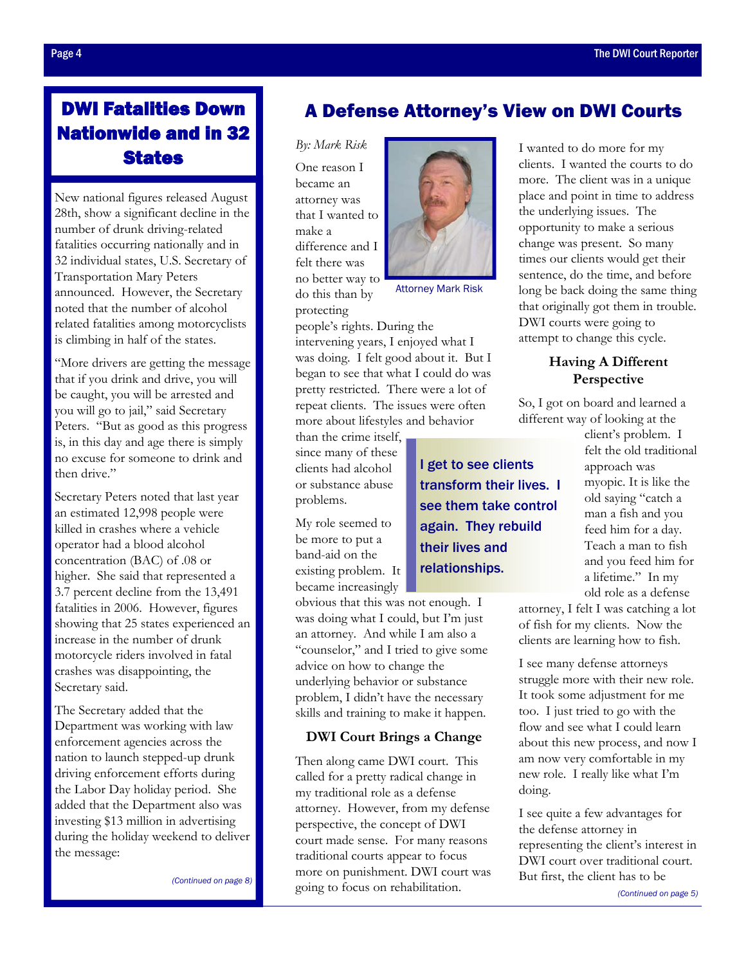# <span id="page-3-0"></span>DWI Fatalities Down Nationwide and in 32 **States**

New national figures released August 28th, show a significant decline in the number of drunk driving-related fatalities occurring nationally and in 32 individual states, U.S. Secretary of Transportation Mary Peters announced. However, the Secretary noted that the number of alcohol related fatalities among motorcyclists is climbing in half of the states.

"More drivers are getting the message that if you drink and drive, you will be caught, you will be arrested and you will go to jail," said Secretary Peters. "But as good as this progress is, in this day and age there is simply no excuse for someone to drink and then drive."

Secretary Peters noted that last year an estimated 12,998 people were killed in crashes where a vehicle operator had a blood alcohol concentration (BAC) of .08 or higher. She said that represented a 3.7 percent decline from the 13,491 fatalities in 2006. However, figures showing that 25 states experienced an increase in the number of drunk motorcycle riders involved in fatal crashes was disappointing, the Secretary said.

The Secretary added that the Department was working with law enforcement agencies across the nation to launch stepped-up drunk driving enforcement efforts during the Labor Day holiday period. She added that the Department also was investing \$13 million in advertising during the holiday weekend to deliver the message:

*[\(Continued on page 8\)](#page-7-0)* 

### A Defense Attorney's View on DWI Courts

*By: Mark Risk* 

One reason I became an attorney was that I wanted to make a difference and I felt there was no better way to do this than by protecting



Attorney Mark Risk

people's rights. During the intervening years, I enjoyed what I was doing. I felt good about it. But I began to see that what I could do was pretty restricted. There were a lot of repeat clients. The issues were often more about lifestyles and behavior

than the crime itself, since many of these clients had alcohol or substance abuse problems.

My role seemed to be more to put a band-aid on the existing problem. It became increasingly

obvious that this was not enough. I was doing what I could, but I'm just an attorney. And while I am also a "counselor," and I tried to give some advice on how to change the underlying behavior or substance problem, I didn't have the necessary skills and training to make it happen.

#### **DWI Court Brings a Change**

Then along came DWI court. This called for a pretty radical change in my traditional role as a defense attorney. However, from my defense perspective, the concept of DWI court made sense. For many reasons traditional courts appear to focus more on punishment. DWI court was going to focus on rehabilitation.

I wanted to do more for my clients. I wanted the courts to do more. The client was in a unique place and point in time to address the underlying issues. The opportunity to make a serious change was present. So many times our clients would get their sentence, do the time, and before long be back doing the same thing that originally got them in trouble. DWI courts were going to attempt to change this cycle.

### **Having A Different Perspective**

So, I got on board and learned a different way of looking at the

> client's problem. I felt the old traditional approach was myopic. It is like the old saying "catch a man a fish and you feed him for a day. Teach a man to fish and you feed him for a lifetime." In my old role as a defense

attorney, I felt I was catching a lot of fish for my clients. Now the clients are learning how to fish.

I see many defense attorneys struggle more with their new role. It took some adjustment for me too. I just tried to go with the flow and see what I could learn about this new process, and now I am now very comfortable in my new role. I really like what I'm doing.

I see quite a few advantages for the defense attorney in representing the client's interest in DWI court over traditional court. But first, the client has to be

transform their lives. I see them take control again. They rebuild their lives and relationships.

I get to see clients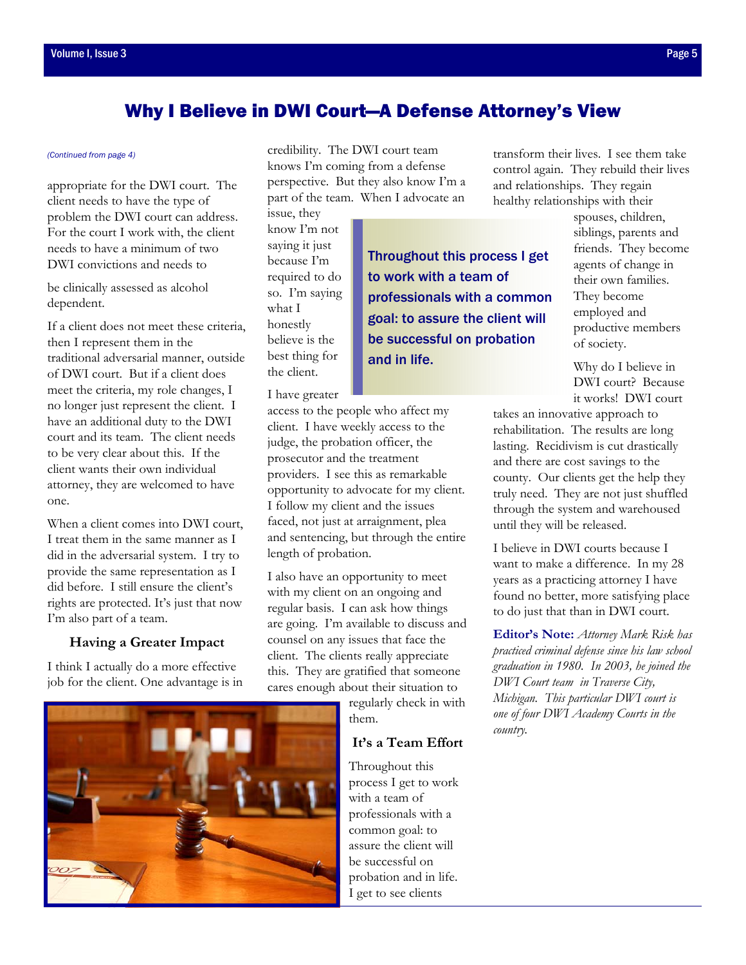### Why I Believe in DWI Court—A Defense Attorney's View

appropriate for the DWI court. The client needs to have the type of problem the DWI court can address. For the court I work with, the client needs to have a minimum of two DWI convictions and needs to

be clinically assessed as alcohol dependent.

If a client does not meet these criteria, then I represent them in the traditional adversarial manner, outside of DWI court. But if a client does meet the criteria, my role changes, I no longer just represent the client. I have an additional duty to the DWI court and its team. The client needs to be very clear about this. If the client wants their own individual attorney, they are welcomed to have one.

When a client comes into DWI court, I treat them in the same manner as I did in the adversarial system. I try to provide the same representation as I did before. I still ensure the client's rights are protected. It's just that now I'm also part of a team.

#### **Having a Greater Impact**

I think I actually do a more effective job for the client. One advantage is in

<span id="page-4-0"></span>*(Continued from page 4)* **credibility.** The DWI court team knows I'm coming from a defense perspective. But they also know I'm a part of the team. When I advocate an

> issue, they know I'm not saying it just because I'm required to do so. I'm saying what I honestly believe is the best thing for the client.

Throughout this process I get to work with a team of professionals with a common goal: to assure the client will be successful on probation and in life.

I have greater

access to the people who affect my client. I have weekly access to the judge, the probation officer, the prosecutor and the treatment providers. I see this as remarkable opportunity to advocate for my client. I follow my client and the issues faced, not just at arraignment, plea and sentencing, but through the entire length of probation.

I also have an opportunity to meet with my client on an ongoing and regular basis. I can ask how things are going. I'm available to discuss and counsel on any issues that face the client. The clients really appreciate this. They are gratified that someone cares enough about their situation to

> regularly check in with them.

### **It's a Team Effort**

Throughout this process I get to work with a team of professionals with a common goal: to assure the client will be successful on probation and in life. I get to see clients

transform their lives. I see them take control again. They rebuild their lives and relationships. They regain healthy relationships with their

> spouses, children, siblings, parents and friends. They become agents of change in their own families. They become employed and productive members of society.

Why do I believe in DWI court? Because it works! DWI court

takes an innovative approach to rehabilitation. The results are long lasting. Recidivism is cut drastically and there are cost savings to the county. Our clients get the help they truly need. They are not just shuffled through the system and warehoused until they will be released.

I believe in DWI courts because I want to make a difference. In my 28 years as a practicing attorney I have found no better, more satisfying place to do just that than in DWI court.

**Editor's Note:** *Attorney Mark Risk has practiced criminal defense since his law school graduation in 1980. In 2003, he joined the DWI Court team in Traverse City, Michigan. This particular DWI court is one of four DWI Academy Courts in the country.*

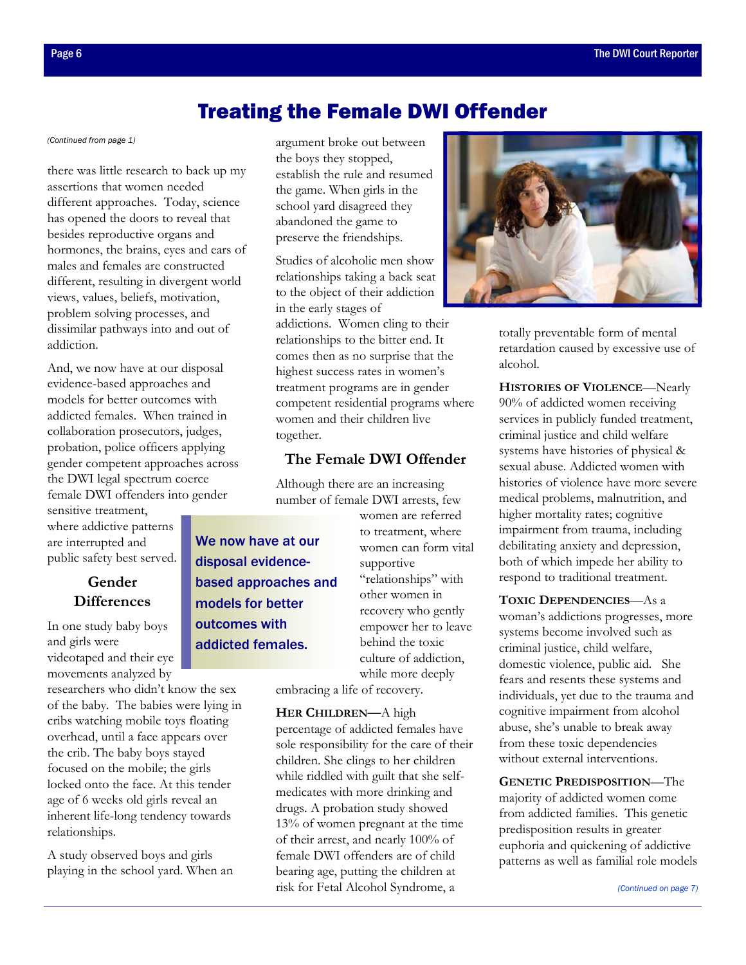## Treating the Female DWI Offender

there was little research to back up my assertions that women needed different approaches. Today, science has opened the doors to reveal that besides reproductive organs and hormones, the brains, eyes and ears of males and females are constructed different, resulting in divergent world views, values, beliefs, motivation, problem solving processes, and dissimilar pathways into and out of addiction.

And, we now have at our disposal evidence-based approaches and models for better outcomes with addicted females. When trained in collaboration prosecutors, judges, probation, police officers applying gender competent approaches across the DWI legal spectrum coerce female DWI offenders into gender

sensitive treatment, where addictive patterns are interrupted and public safety best served.

### **Gender Differences**

In one study baby boys and girls were videotaped and their eye movements analyzed by

researchers who didn't know the sex of the baby. The babies were lying in cribs watching mobile toys floating overhead, until a face appears over the crib. The baby boys stayed focused on the mobile; the girls locked onto the face. At this tender age of 6 weeks old girls reveal an inherent life-long tendency towards relationships.

A study observed boys and girls playing in the school yard. When an

<span id="page-5-0"></span>*[\(Continued from page 1\)](#page-0-0)* argument broke out between the boys they stopped, establish the rule and resumed the game. When girls in the school yard disagreed they abandoned the game to preserve the friendships.

> Studies of alcoholic men show relationships taking a back seat to the object of their addiction in the early stages of addictions. Women cling to their relationships to the bitter end. It comes then as no surprise that the highest success rates in women's treatment programs are in gender competent residential programs where women and their children live together.

### **The Female DWI Offender**

Although there are an increasing number of female DWI arrests, few

We now have at our disposal evidencebased approaches and models for better outcomes with addicted females.

women are referred to treatment, where women can form vital supportive "relationships" with other women in recovery who gently empower her to leave behind the toxic culture of addiction, while more deeply

embracing a life of recovery.

**HER CHILDREN—**A high percentage of addicted females have sole responsibility for the care of their children. She clings to her children while riddled with guilt that she selfmedicates with more drinking and drugs. A probation study showed 13% of women pregnant at the time of their arrest, and nearly 100% of female DWI offenders are of child bearing age, putting the children at risk for Fetal Alcohol Syndrome, a



totally preventable form of mental retardation caused by excessive use of alcohol.

**HISTORIES OF VIOLENCE**—Nearly 90% of addicted women receiving services in publicly funded treatment, criminal justice and child welfare systems have histories of physical & sexual abuse. Addicted women with histories of violence have more severe medical problems, malnutrition, and higher mortality rates; cognitive impairment from trauma, including debilitating anxiety and depression, both of which impede her ability to respond to traditional treatment.

**TOXIC DEPENDENCIES**—As a woman's addictions progresses, more systems become involved such as criminal justice, child welfare, domestic violence, public aid. She fears and resents these systems and individuals, yet due to the trauma and cognitive impairment from alcohol abuse, she's unable to break away from these toxic dependencies without external interventions.

**GENETIC PREDISPOSITION**—The majority of addicted women come from addicted families. This genetic predisposition results in greater euphoria and quickening of addictive patterns as well as familial role models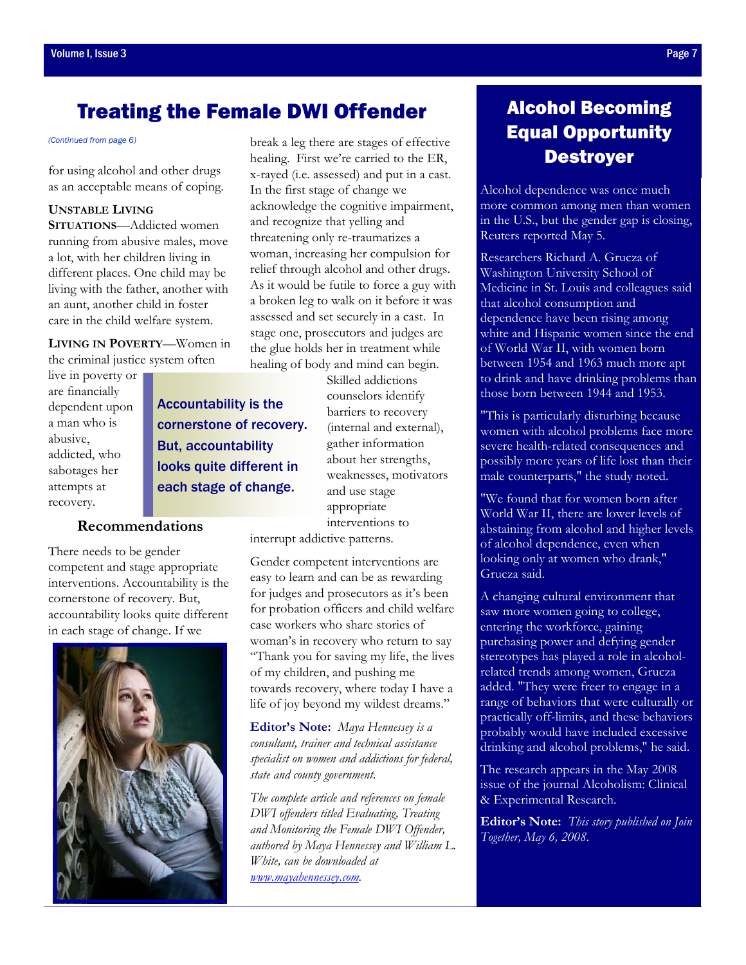# <span id="page-6-0"></span>Treating the Female DWI Offender

for using alcohol and other drugs as an acceptable means of coping.

#### **UNSTABLE LIVING**

**SITUATIONS**—Addicted women running from abusive males, move a lot, with her children living in different places. One child may be living with the father, another with an aunt, another child in foster care in the child welfare system.

**LIVING IN POVERTY**—Women in the criminal justice system often

live in poverty or are financially dependent upon a man who is abusive, addicted, who sabotages her attempts at recovery.

Accountability is the cornerstone of recovery. But, accountability looks quite different in each stage of change.

#### **Recommendations**

There needs to be gender competent and stage appropriate interventions. Accountability is the cornerstone of recovery. But, accountability looks quite different in each stage of change. If we



*[\(Continued from page 6\)](#page-5-0)* break a leg there are stages of effective healing. First we're carried to the ER, x-rayed (i.e. assessed) and put in a cast. In the first stage of change we acknowledge the cognitive impairment, and recognize that yelling and threatening only re-traumatizes a woman, increasing her compulsion for relief through alcohol and other drugs. As it would be futile to force a guy with a broken leg to walk on it before it was assessed and set securely in a cast. In stage one, prosecutors and judges are the glue holds her in treatment while healing of body and mind can begin.

> Skilled addictions counselors identify barriers to recovery (internal and external), gather information about her strengths, weaknesses, motivators and use stage appropriate interventions to

interrupt addictive patterns.

Gender competent interventions are easy to learn and can be as rewarding for judges and prosecutors as it's been for probation officers and child welfare case workers who share stories of woman's in recovery who return to say "Thank you for saving my life, the lives of my children, and pushing me towards recovery, where today I have a life of joy beyond my wildest dreams."

**Editor's Note:** *Maya Hennessey is a consultant, trainer and technical assistance specialist on women and addictions for federal, state and county government.* 

*The complete article and references on female DWI offenders titled Evaluating, Treating and Monitoring the Female DWI Offender, authored by Maya Hennessey and William L. White, can be downloaded at www.mayahennessey.com.*

# Alcohol Becoming Equal Opportunity Destroyer

Alcohol dependence was once much more common among men than women in the U.S., but the gender gap is closing, Reuters reported May 5.

Researchers Richard A. Grucza of Washington University School of Medicine in St. Louis and colleagues said that alcohol consumption and dependence have been rising among white and Hispanic women since the end of World War II, with women born between 1954 and 1963 much more apt to drink and have drinking problems than those born between 1944 and 1953.

"This is particularly disturbing because women with alcohol problems face more severe health-related consequences and possibly more years of life lost than their male counterparts," the study noted.

"We found that for women born after World War II, there are lower levels of abstaining from alcohol and higher levels of alcohol dependence, even when looking only at women who drank," Grucza said.

A changing cultural environment that saw more women going to college, entering the workforce, gaining purchasing power and defying gender stereotypes has played a role in alcoholrelated trends among women, Grucza added. "They were freer to engage in a range of behaviors that were culturally or practically off-limits, and these behaviors probably would have included excessive drinking and alcohol problems," he said.

The research appears in the May 2008 issue of the journal Alcoholism: Clinical & Experimental Research.

**Editor's Note:** *This story published on Join Together, May 6, 2008.*